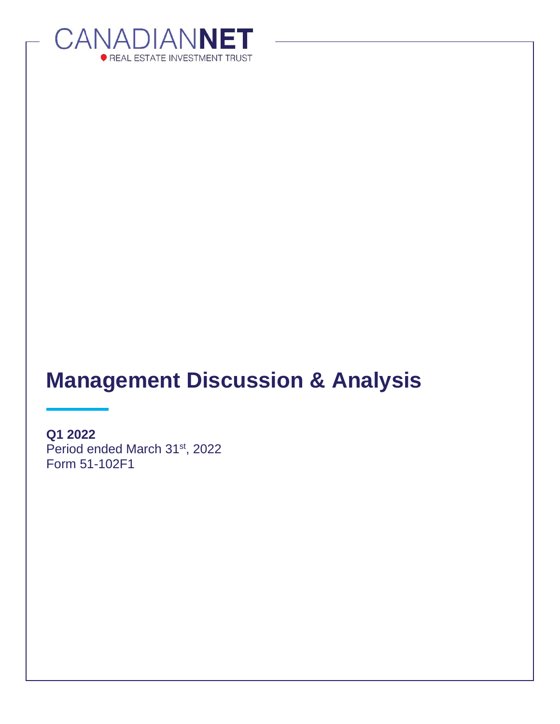

# **Management Discussion & Analysis**

**Q1 2022** Period ended March 31<sup>st</sup>, 2022 Form 51-102F1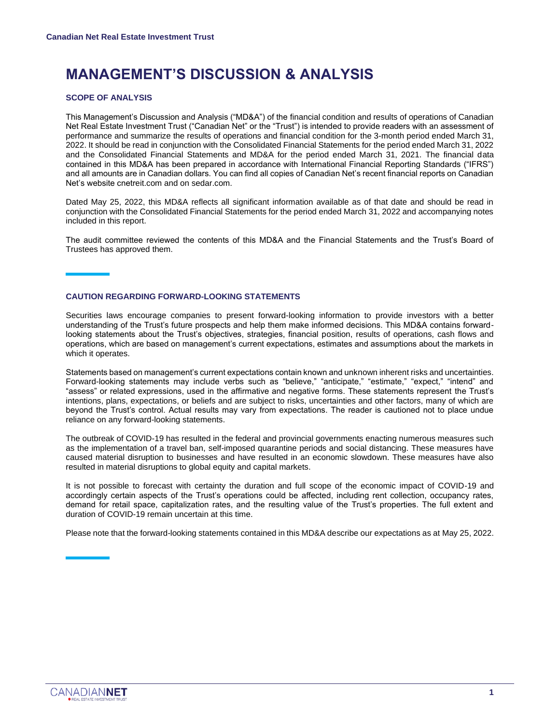### **MANAGEMENT'S DISCUSSION & ANALYSIS**

#### **SCOPE OF ANALYSIS**

This Management's Discussion and Analysis ("MD&A") of the financial condition and results of operations of Canadian Net Real Estate Investment Trust ("Canadian Net" or the "Trust") is intended to provide readers with an assessment of performance and summarize the results of operations and financial condition for the 3-month period ended March 31, 2022. It should be read in conjunction with the Consolidated Financial Statements for the period ended March 31, 2022 and the Consolidated Financial Statements and MD&A for the period ended March 31, 2021. The financial data contained in this MD&A has been prepared in accordance with International Financial Reporting Standards ("IFRS") and all amounts are in Canadian dollars. You can find all copies of Canadian Net's recent financial reports on Canadian Net's website cnetreit.com and on sedar.com.

Dated May 25, 2022, this MD&A reflects all significant information available as of that date and should be read in conjunction with the Consolidated Financial Statements for the period ended March 31, 2022 and accompanying notes included in this report.

The audit committee reviewed the contents of this MD&A and the Financial Statements and the Trust's Board of Trustees has approved them.

#### **CAUTION REGARDING FORWARD-LOOKING STATEMENTS**

Securities laws encourage companies to present forward-looking information to provide investors with a better understanding of the Trust's future prospects and help them make informed decisions. This MD&A contains forwardlooking statements about the Trust's objectives, strategies, financial position, results of operations, cash flows and operations, which are based on management's current expectations, estimates and assumptions about the markets in which it operates.

Statements based on management's current expectations contain known and unknown inherent risks and uncertainties. Forward-looking statements may include verbs such as "believe," "anticipate," "estimate," "expect," "intend" and "assess" or related expressions, used in the affirmative and negative forms. These statements represent the Trust's intentions, plans, expectations, or beliefs and are subject to risks, uncertainties and other factors, many of which are beyond the Trust's control. Actual results may vary from expectations. The reader is cautioned not to place undue reliance on any forward-looking statements.

The outbreak of COVID-19 has resulted in the federal and provincial governments enacting numerous measures such as the implementation of a travel ban, self-imposed quarantine periods and social distancing. These measures have caused material disruption to businesses and have resulted in an economic slowdown. These measures have also resulted in material disruptions to global equity and capital markets.

It is not possible to forecast with certainty the duration and full scope of the economic impact of COVID-19 and accordingly certain aspects of the Trust's operations could be affected, including rent collection, occupancy rates, demand for retail space, capitalization rates, and the resulting value of the Trust's properties. The full extent and duration of COVID-19 remain uncertain at this time.

Please note that the forward-looking statements contained in this MD&A describe our expectations as at May 25, 2022.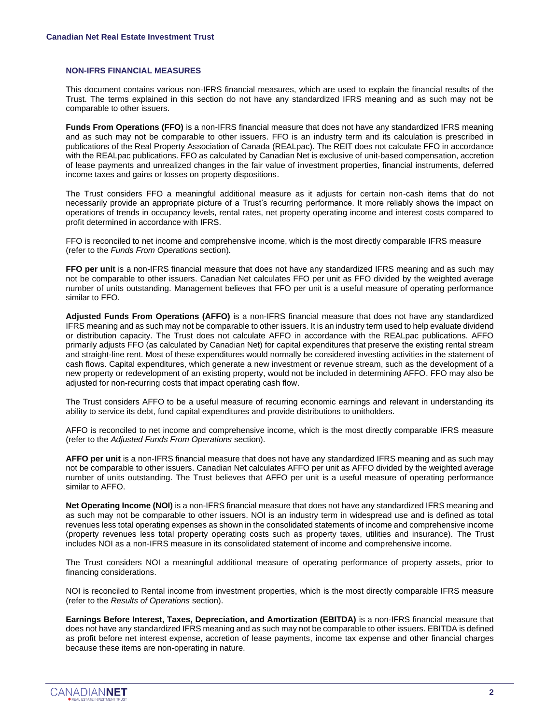#### **NON-IFRS FINANCIAL MEASURES**

This document contains various non-IFRS financial measures, which are used to explain the financial results of the Trust. The terms explained in this section do not have any standardized IFRS meaning and as such may not be comparable to other issuers.

**Funds From Operations (FFO)** is a non-IFRS financial measure that does not have any standardized IFRS meaning and as such may not be comparable to other issuers. FFO is an industry term and its calculation is prescribed in publications of the Real Property Association of Canada (REALpac). The REIT does not calculate FFO in accordance with the REALpac publications. FFO as calculated by Canadian Net is exclusive of unit-based compensation, accretion of lease payments and unrealized changes in the fair value of investment properties, financial instruments, deferred income taxes and gains or losses on property dispositions.

The Trust considers FFO a meaningful additional measure as it adjusts for certain non-cash items that do not necessarily provide an appropriate picture of a Trust's recurring performance. It more reliably shows the impact on operations of trends in occupancy levels, rental rates, net property operating income and interest costs compared to profit determined in accordance with IFRS.

FFO is reconciled to net income and comprehensive income, which is the most directly comparable IFRS measure (refer to the *Funds From Operations* section).

**FFO per unit** is a non-IFRS financial measure that does not have any standardized IFRS meaning and as such may not be comparable to other issuers. Canadian Net calculates FFO per unit as FFO divided by the weighted average number of units outstanding. Management believes that FFO per unit is a useful measure of operating performance similar to FFO.

**Adjusted Funds From Operations (AFFO)** is a non-IFRS financial measure that does not have any standardized IFRS meaning and as such may not be comparable to other issuers. It is an industry term used to help evaluate dividend or distribution capacity. The Trust does not calculate AFFO in accordance with the REALpac publications. AFFO primarily adjusts FFO (as calculated by Canadian Net) for capital expenditures that preserve the existing rental stream and straight-line rent. Most of these expenditures would normally be considered investing activities in the statement of cash flows. Capital expenditures, which generate a new investment or revenue stream, such as the development of a new property or redevelopment of an existing property, would not be included in determining AFFO. FFO may also be adjusted for non-recurring costs that impact operating cash flow.

The Trust considers AFFO to be a useful measure of recurring economic earnings and relevant in understanding its ability to service its debt, fund capital expenditures and provide distributions to unitholders.

AFFO is reconciled to net income and comprehensive income, which is the most directly comparable IFRS measure (refer to the *Adjusted Funds From Operations* section).

**AFFO per unit** is a non-IFRS financial measure that does not have any standardized IFRS meaning and as such may not be comparable to other issuers. Canadian Net calculates AFFO per unit as AFFO divided by the weighted average number of units outstanding. The Trust believes that AFFO per unit is a useful measure of operating performance similar to AFFO.

**Net Operating Income (NOI)** is a non-IFRS financial measure that does not have any standardized IFRS meaning and as such may not be comparable to other issuers. NOI is an industry term in widespread use and is defined as total revenues less total operating expenses as shown in the consolidated statements of income and comprehensive income (property revenues less total property operating costs such as property taxes, utilities and insurance). The Trust includes NOI as a non-IFRS measure in its consolidated statement of income and comprehensive income.

The Trust considers NOI a meaningful additional measure of operating performance of property assets, prior to financing considerations.

NOI is reconciled to Rental income from investment properties, which is the most directly comparable IFRS measure (refer to the *Results of Operations* section).

**Earnings Before Interest, Taxes, Depreciation, and Amortization (EBITDA)** is a non-IFRS financial measure that does not have any standardized IFRS meaning and as such may not be comparable to other issuers. EBITDA is defined as profit before net interest expense, accretion of lease payments, income tax expense and other financial charges because these items are non-operating in nature.

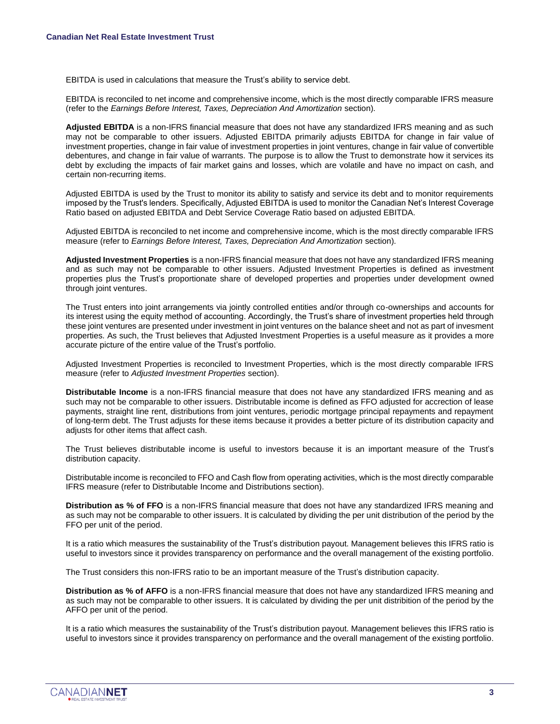EBITDA is used in calculations that measure the Trust's ability to service debt.

EBITDA is reconciled to net income and comprehensive income, which is the most directly comparable IFRS measure (refer to the *Earnings Before Interest, Taxes, Depreciation And Amortization* section).

**Adjusted EBITDA** is a non-IFRS financial measure that does not have any standardized IFRS meaning and as such may not be comparable to other issuers. Adjusted EBITDA primarily adjusts EBITDA for change in fair value of investment properties, change in fair value of investment properties in joint ventures, change in fair value of convertible debentures, and change in fair value of warrants. The purpose is to allow the Trust to demonstrate how it services its debt by excluding the impacts of fair market gains and losses, which are volatile and have no impact on cash, and certain non-recurring items.

Adjusted EBITDA is used by the Trust to monitor its ability to satisfy and service its debt and to monitor requirements imposed by the Trust's lenders. Specifically, Adjusted EBITDA is used to monitor the Canadian Net's Interest Coverage Ratio based on adjusted EBITDA and Debt Service Coverage Ratio based on adjusted EBITDA.

Adjusted EBITDA is reconciled to net income and comprehensive income, which is the most directly comparable IFRS measure (refer to *Earnings Before Interest, Taxes, Depreciation And Amortization* section).

**Adjusted Investment Properties** is a non-IFRS financial measure that does not have any standardized IFRS meaning and as such may not be comparable to other issuers. Adjusted Investment Properties is defined as investment properties plus the Trust's proportionate share of developed properties and properties under development owned through joint ventures.

The Trust enters into joint arrangements via jointly controlled entities and/or through co-ownerships and accounts for its interest using the equity method of accounting. Accordingly, the Trust's share of investment properties held through these joint ventures are presented under investment in joint ventures on the balance sheet and not as part of invesment properties. As such, the Trust believes that Adjusted Investment Properties is a useful measure as it provides a more accurate picture of the entire value of the Trust's portfolio.

Adjusted Investment Properties is reconciled to Investment Properties, which is the most directly comparable IFRS measure (refer to *Adjusted Investment Properties* section).

**Distributable Income** is a non-IFRS financial measure that does not have any standardized IFRS meaning and as such may not be comparable to other issuers. Distributable income is defined as FFO adjusted for accrection of lease payments, straight line rent, distributions from joint ventures, periodic mortgage principal repayments and repayment of long-term debt. The Trust adjusts for these items because it provides a better picture of its distribution capacity and adjusts for other items that affect cash.

The Trust believes distributable income is useful to investors because it is an important measure of the Trust's distribution capacity.

Distributable income is reconciled to FFO and Cash flow from operating activities, which is the most directly comparable IFRS measure (refer to Distributable Income and Distributions section).

**Distribution as % of FFO** is a non-IFRS financial measure that does not have any standardized IFRS meaning and as such may not be comparable to other issuers. It is calculated by dividing the per unit distribution of the period by the FFO per unit of the period.

It is a ratio which measures the sustainability of the Trust's distribution payout. Management believes this IFRS ratio is useful to investors since it provides transparency on performance and the overall management of the existing portfolio.

The Trust considers this non-IFRS ratio to be an important measure of the Trust's distribution capacity.

**Distribution as % of AFFO** is a non-IFRS financial measure that does not have any standardized IFRS meaning and as such may not be comparable to other issuers. It is calculated by dividing the per unit distribition of the period by the AFFO per unit of the period.

It is a ratio which measures the sustainability of the Trust's distribution payout. Management believes this IFRS ratio is useful to investors since it provides transparency on performance and the overall management of the existing portfolio.

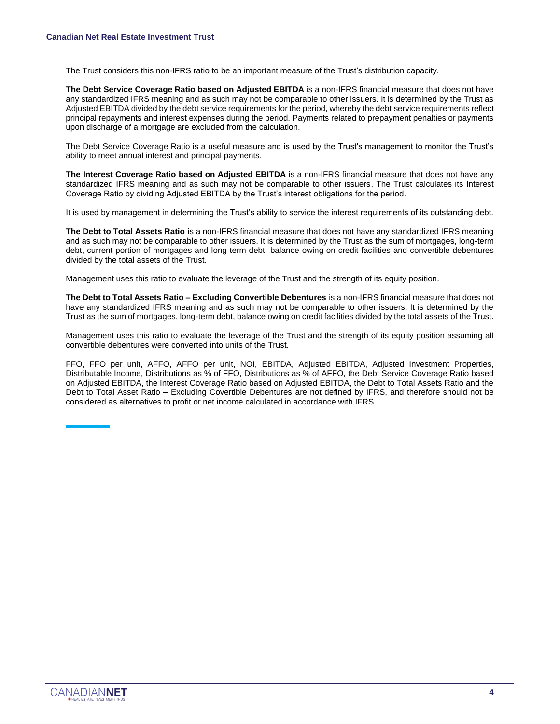The Trust considers this non-IFRS ratio to be an important measure of the Trust's distribution capacity.

**The Debt Service Coverage Ratio based on Adjusted EBITDA** is a non-IFRS financial measure that does not have any standardized IFRS meaning and as such may not be comparable to other issuers. It is determined by the Trust as Adjusted EBITDA divided by the debt service requirements for the period, whereby the debt service requirements reflect principal repayments and interest expenses during the period. Payments related to prepayment penalties or payments upon discharge of a mortgage are excluded from the calculation.

The Debt Service Coverage Ratio is a useful measure and is used by the Trust's management to monitor the Trust's ability to meet annual interest and principal payments.

**The Interest Coverage Ratio based on Adjusted EBITDA** is a non-IFRS financial measure that does not have any standardized IFRS meaning and as such may not be comparable to other issuers. The Trust calculates its Interest Coverage Ratio by dividing Adjusted EBITDA by the Trust's interest obligations for the period.

It is used by management in determining the Trust's ability to service the interest requirements of its outstanding debt.

**The Debt to Total Assets Ratio** is a non-IFRS financial measure that does not have any standardized IFRS meaning and as such may not be comparable to other issuers. It is determined by the Trust as the sum of mortgages, long-term debt, current portion of mortgages and long term debt, balance owing on credit facilities and convertible debentures divided by the total assets of the Trust.

Management uses this ratio to evaluate the leverage of the Trust and the strength of its equity position.

**The Debt to Total Assets Ratio – Excluding Convertible Debentures** is a non-IFRS financial measure that does not have any standardized IFRS meaning and as such may not be comparable to other issuers. It is determined by the Trust as the sum of mortgages, long-term debt, balance owing on credit facilities divided by the total assets of the Trust.

Management uses this ratio to evaluate the leverage of the Trust and the strength of its equity position assuming all convertible debentures were converted into units of the Trust.

FFO, FFO per unit, AFFO, AFFO per unit, NOI, EBITDA, Adjusted EBITDA, Adjusted Investment Properties, Distributable Income, Distributions as % of FFO, Distributions as % of AFFO, the Debt Service Coverage Ratio based on Adjusted EBITDA, the Interest Coverage Ratio based on Adjusted EBITDA, the Debt to Total Assets Ratio and the Debt to Total Asset Ratio – Excluding Covertible Debentures are not defined by IFRS, and therefore should not be considered as alternatives to profit or net income calculated in accordance with IFRS.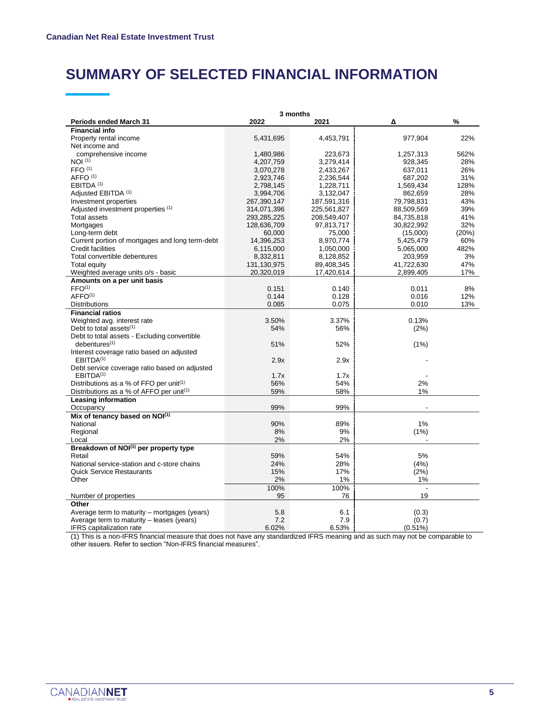### **SUMMARY OF SELECTED FINANCIAL INFORMATION**

|                                                     | 3 months    |             |                          |       |  |  |  |
|-----------------------------------------------------|-------------|-------------|--------------------------|-------|--|--|--|
| <b>Periods ended March 31</b>                       | 2022        | 2021        | Δ                        | %     |  |  |  |
| <b>Financial info</b>                               |             |             |                          |       |  |  |  |
| Property rental income                              | 5,431,695   | 4,453,791   | 977.904                  | 22%   |  |  |  |
| Net income and                                      |             |             |                          |       |  |  |  |
| comprehensive income                                | 1,480,986   | 223,673     | 1,257,313                | 562%  |  |  |  |
| NOI <sup>(1)</sup>                                  | 4,207,759   | 3,279,414   | 928.345                  | 28%   |  |  |  |
| FFO <sup>(1)</sup>                                  | 3,070,278   | 2,433,267   | 637,011                  | 26%   |  |  |  |
| AFFO <sup>(1)</sup>                                 | 2,923,746   | 2,236,544   | 687,202                  | 31%   |  |  |  |
| EBITDA <sup>(1)</sup>                               | 2,798,145   | 1,228,711   | 1,569,434                | 128%  |  |  |  |
| Adjusted EBITDA (1)                                 | 3,994,706   | 3,132,047   | 862,659                  | 28%   |  |  |  |
| Investment properties                               | 267,390,147 | 187,591,316 | 79,798,831               | 43%   |  |  |  |
| Adjusted investment properties (1)                  | 314,071,396 | 225,561,827 | 88,509,569               | 39%   |  |  |  |
| <b>Total assets</b>                                 | 293,285,225 | 208,549,407 | 84,735,818               | 41%   |  |  |  |
| Mortgages                                           | 128,636,709 | 97,813,717  | 30,822,992               | 32%   |  |  |  |
| Long-term debt                                      | 60,000      | 75,000      | (15,000)                 | (20%) |  |  |  |
| Current portion of mortgages and long term-debt     | 14,396,253  | 8,970,774   | 5,425,479                | 60%   |  |  |  |
| <b>Credit facilities</b>                            | 6,115,000   | 1,050,000   | 5,065,000                | 482%  |  |  |  |
| Total convertible debentures                        | 8,332,811   | 8,128,852   | 203,959                  | 3%    |  |  |  |
| <b>Total equity</b>                                 | 131,130,975 | 89,408,345  | 41,722,630               | 47%   |  |  |  |
| Weighted average units o/s - basic                  | 20,320,019  | 17,420,614  | 2,899,405                | 17%   |  |  |  |
| Amounts on a per unit basis                         |             |             |                          |       |  |  |  |
| FFO <sup>(1)</sup>                                  | 0.151       | 0.140       | 0.011                    | 8%    |  |  |  |
| AFFO <sup>(1)</sup>                                 | 0.144       | 0.128       | 0.016                    | 12%   |  |  |  |
| <b>Distributions</b>                                | 0.085       | 0.075       | 0.010                    | 13%   |  |  |  |
| <b>Financial ratios</b>                             |             |             |                          |       |  |  |  |
| Weighted avg. interest rate                         | 3.50%       | 3.37%       | 0.13%                    |       |  |  |  |
| Debt to total assets $(1)$                          | 54%         | 56%         | (2%)                     |       |  |  |  |
| Debt to total assets - Excluding convertible        |             |             |                          |       |  |  |  |
| $deb$ entures $(1)$                                 | 51%         | 52%         | (1%)                     |       |  |  |  |
| Interest coverage ratio based on adjusted           |             |             |                          |       |  |  |  |
| EBITDA <sup>(1)</sup>                               | 2.9x        | 2.9x        |                          |       |  |  |  |
| Debt service coverage ratio based on adjusted       |             |             |                          |       |  |  |  |
| EBITDA <sup>(1)</sup>                               | 1.7x        | 1.7x        |                          |       |  |  |  |
| Distributions as a % of FFO per unit <sup>(1)</sup> | 56%         | 54%         | 2%                       |       |  |  |  |
| Distributions as a % of AFFO per unit(1)            | 59%         | 58%         | 1%                       |       |  |  |  |
| Leasing information                                 |             |             |                          |       |  |  |  |
| Occupancy                                           | 99%         | 99%         | $\overline{\phantom{a}}$ |       |  |  |  |
| Mix of tenancy based on NOI(1)                      |             |             |                          |       |  |  |  |
| National                                            | 90%         | 89%         | 1%                       |       |  |  |  |
| Regional                                            | 8%          | 9%          | (1%)                     |       |  |  |  |
| Local                                               | 2%          | 2%          |                          |       |  |  |  |
| Breakdown of NOI <sup>(1)</sup> per property type   |             |             |                          |       |  |  |  |
| Retail                                              | 59%         | 54%         | 5%                       |       |  |  |  |
| National service-station and c-store chains         | 24%         | 28%         | (4%)                     |       |  |  |  |
| <b>Quick Service Restaurants</b>                    | 15%         | 17%         | (2%)                     |       |  |  |  |
| Other                                               | 2%          | 1%          | 1%                       |       |  |  |  |
|                                                     | 100%        | 100%        |                          |       |  |  |  |
| Number of properties                                | 95          | 76          | 19                       |       |  |  |  |
| Other                                               |             |             |                          |       |  |  |  |
| Average term to maturity – mortgages (years)        | 5.8         | 6.1         | (0.3)                    |       |  |  |  |
| Average term to maturity – leases (years)           | 7.2         | 7.9         | (0.7)                    |       |  |  |  |
| <b>IFRS</b> capitalization rate                     | 6.02%       | 6.53%       | $(0.51\%)$               |       |  |  |  |

(1) This is a non-IFRS financial measure that does not have any standardized IFRS meaning and as such may not be comparable to other issuers. Refer to section "Non-IFRS financial measures".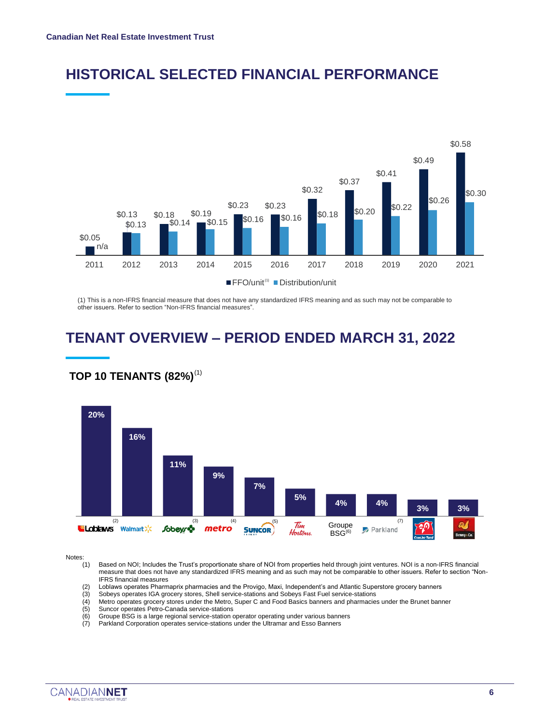



(1) This is a non-IFRS financial measure that does not have any standardized IFRS meaning and as such may not be comparable to other issuers. Refer to section "Non-IFRS financial measures".

## **TENANT OVERVIEW – PERIOD ENDED MARCH 31, 2022**



### **TOP 10 TENANTS (82%)** (1)

Notes:<br>(1)

Based on NOI; Includes the Trust's proportionate share of NOI from properties held through joint ventures. NOI is a non-IFRS financial measure that does not have any standardized IFRS meaning and as such may not be comparable to other issuers. Refer to section "Non-IFRS financial measures

- (2) Loblaws operates Pharmaprix pharmacies and the Provigo, Maxi, Independent's and Atlantic Superstore grocery banners
- (3) Sobeys operates IGA grocery stores, Shell service-stations and Sobeys Fast Fuel service-stations
- (4) Metro operates grocery stores under the Metro, Super C and Food Basics banners and pharmacies under the Brunet banner<br>(5) Suncor operates Petro-Canada service-stations
- (5) Suncor operates Petro-Canada service-stations
- Groupe BSG is a large regional service-station operator operating under various banners
- (7) Parkland Corporation operates service-stations under the Ultramar and Esso Banners

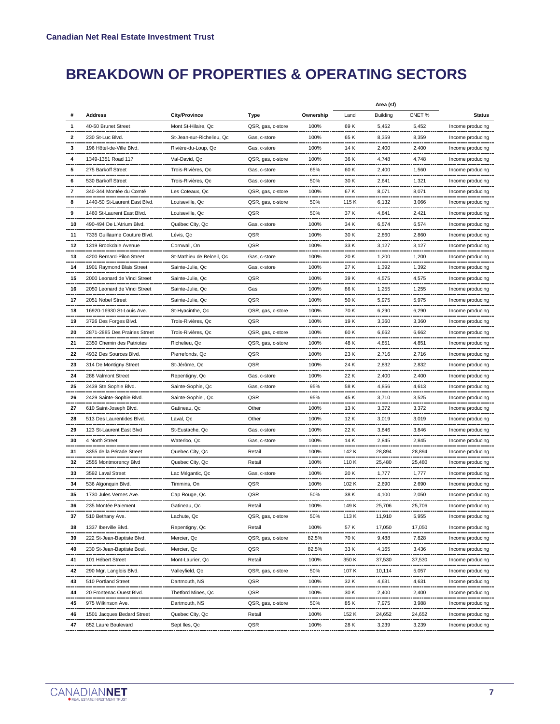## **BREAKDOWN OF PROPERTIES & OPERATING SECTORS**

|              |                               |                           |                   |           |       | Area (sf)       |        |                      |
|--------------|-------------------------------|---------------------------|-------------------|-----------|-------|-----------------|--------|----------------------|
|              | <b>Address</b>                | <b>City/Province</b>      | Type              | Ownership | Land  | <b>Building</b> | CNET%  | <b>Status</b>        |
|              | 40-50 Brunet Street           | Mont St-Hilaire, Qc       | QSR, gas, c-store | 100%      | 69 K  | 5,452           | 5,452  | Income producing     |
| $\mathbf{2}$ | 230 St-Luc Blvd.              | St-Jean-sur-Richelieu, Qc | Gas, c-store      | 100%      | 65 K  | 8,359           | 8,359  | Income producing     |
| 3            | 196 Hôtel-de-Ville Blvd.      | Rivière-du-Loup, Qc       | Gas, c-store      | 100%      | 14 K  | 2,400           | 2,400  | Income producing     |
| 4            | 1349-1351 Road 117            | Val-David, Qc             | QSR, gas, c-store | 100%      | 36 K  | 4,748           | 4,748  | Income producing     |
| 5            | 275 Barkoff Street            | Trois-Rivières, Qc        | Gas, c-store      | 65%       | 60 K  | 2,400           | 1,560  | Income producing     |
| 6            | 530 Barkoff Street            | Trois-Rivières, Qc        | Gas, c-store      | 50%       | 30 K  | 2,641           | 1,321  | Income producing     |
| 7            | 340-344 Montée du Comté       | Les Coteaux, Qc           | QSR, gas, c-store | 100%      | 67 K  | 8,071           | 8,071  | Income producing     |
| 8            | 1440-50 St-Laurent East Blvd. | Louiseville, Qc           | QSR, gas, c-store | 50%       | 115 K | 6,132           | 3,066  | Income producing     |
| 9            | 1460 St-Laurent East Blvd.    | Louiseville, Qc           | QSR               | 50%       | 37 K  | 4,841           | 2,421  | Income producing     |
| 10           | 490-494 De L'Atrium Blvd.     | Québec City, Qc           | Gas, c-store      | 100%      | 34 K  | 6,574           | 6,574  | Income producing     |
| 11           | 7335 Guillaume Couture Blvd.  | Lévis, Qc                 | QSR               | 100%      | 30 K  | 2,860           | 2,860  | Income producing     |
| 12           | 1319 Brookdale Avenue         | Cornwall, On              | QSR               | 100%      | 33 K  | 3,127           | 3,127  | Income producing     |
| 13           | 4200 Bernard-Pilon Street     | St-Mathieu de Beloeil, Qc | Gas, c-store      | 100%      | 20 K  | 1,200           | 1,200  | Income producing     |
| 14           | 1901 Raymond Blais Street     | Sainte-Julie, Qc          | Gas, c-store      | 100%      | 27 K  | 1,392           | 1,392  | Income producing     |
| 15           | 2000 Leonard de Vinci Street  | Sainte-Julie, Qc          | QSR               | 100%      | 39 K  | 4,575           | 4,575  | Income producing     |
| 16           | 2050 Leonard de Vinci Street  | Sainte-Julie, Qc          | Gas               | 100%      | 86 K  | 1,255           | 1,255  | Income producing     |
| 17           | 2051 Nobel Street             | Sainte-Julie, Qc          | QSR               | 100%      | 50 K  | 5,975           | 5,975  | Income producing     |
| 18           | 16920-16930 St-Louis Ave.     | St-Hyacinthe, Qc          | QSR, gas, c-store | 100%      | 70 K  | 6,290           | 6,290  | Income producing     |
| 19           | 3726 Des Forges Blvd.         | Trois-Rivières, Qc        | QSR               | 100%      | 19 K  | 3,360           | 3,360  | Income producing     |
| 20           | 2871-2885 Des Prairies Street | Trois-Rivières, Qc        | QSR, gas, c-store | 100%      | 60 K  | 6,662           | 6,662  | Income producing     |
| 21           | 2350 Chemin des Patriotes     | Richelieu, Qc             | QSR, gas, c-store | 100%      | 48 K  | 4,851           | 4,851  | Income producing     |
| 22           | 4932 Des Sources Blvd.        | Pierrefonds, Qc           | QSR               | 100%      | 23 K  | 2,716           | 2,716  | Income producing     |
| 23           | 314 De Montigny Street        | St-Jérôme, Qc             | QSR               | 100%      | 24 K  | 2,832           | 2,832  | Income producing     |
| 24           | 288 Valmont Street            | Repentigny, Qc            | Gas, c-store      | 100%      | 22 K  | 2,400           | 2,400  | Income producing     |
| 25           | 2439 Ste Sophie Blvd.         | Sainte-Sophie, Qc         | Gas, c-store      | 95%       | 58 K  | 4,856           | 4,613  | Income producing     |
| 26           | 2429 Sainte-Sophie Blvd.      | Sainte-Sophie, Qc         | QSR               | 95%       | 45 K  | 3,710           | 3,525  | Income producing     |
| 27           | 610 Saint-Joseph Blvd.        | Gatineau, Qc              | Other             | 100%      | 13 K  | 3,372           | 3,372  | Income producing     |
| 28           | 513 Des Laurentides Blvd.     | Laval, Qc                 | Other             | 100%      | 12 K  | 3,019           | 3,019  | Income producing     |
| 29           | 123 St-Laurent East Blvd      | St-Eustache, Qc           | Gas, c-store      | 100%      | 22 K  | 3,846           | 3,846  | Income producing     |
| 30           | 4 North Street                | Waterloo, Qc              | Gas, c-store      | 100%      | 14 K  | 2,845           | 2,845  | Income producing     |
| 31           | 3355 de la Pérade Street      | Quebec City, Qc           | Retail            | 100%      | 142 K | 28,894          | 28,894 | Income producing     |
| 32           | 2555 Montmorency Blvd         | Quebec City, Qc           | Retail            | 100%      | 110 K | 25,480          | 25,480 | Income producing     |
| 33           | 3592 Laval Street             | Lac Mégantic, Qc          | Gas, c-store      | 100%      | 20 K  | 1,777           | 1,777  | Income producing     |
| 34           | 536 Algonquin Blvd.           | Timmins, On               | QSR               | 100%      | 102 K | 2,690           | 2,690  | Income producing     |
| 35           | 1730 Jules Vernes Ave.        | Cap Rouge, Qc             | QSR               | 50%       | 38 K  | 4.100           | 2,050  | Income producing     |
| 36           | 235 Montée Paiement           | Gatineau, Qc              | Retail            | 100%      | 149 K | 25,706          | 25,706 | Income producing     |
| 37           | 510 Bethany Ave.              | Lachute, Qc               | QSR, gas, c-store | 50%       | 113 K | 11,910          | 5,955  | Income producing     |
| 38           | 1337 Iberville Blvd.          | Repentigny, Qc            | Retail            | 100%      | 57 K  | 17,050          | 17,050 | Income producing     |
| 39           | 222 St-Jean-Baptiste Blvd.    | Mercier, Qc               | QSR, gas, c-store | 82.5%     | 70 K  | 9,488           | 7,828  | Income producing     |
| 40           | 230 St-Jean-Baptiste Boul.    | Mercier, Qc               | QSR               | 82.5%     | 33 K  | 4,165           | 3,436  | Income producing     |
| 41           | 101 Hébert Street             | Mont-Laurier, Qc          | Retail            | 100%      | 350 K | 37,530          | 37,530 | Income producing     |
| 42           | 290 Mgr. Langlois Blvd.       | Valleyfield, Qc           | QSR, gas, c-store | 50%       | 107 K | 10,114          | 5,057  | Income producing     |
| 43           | 510 Portland Street           | Dartmouth, NS             | QSR               | 100%      | 32 K  | 4,631           | 4,631  | Income producing     |
| 44           | 20 Frontenac Ouest Blvd.      | Thetford Mines, Qc        | QSR               | 100%      | 30 K  | 2,400           | 2,400  | Income producing     |
| 45           | 975 Wilkinson Ave.            | Dartmouth, NS             | QSR, gas, c-store | 50%       | 85 K  | 7,975           | 3,988  | Income producing<br> |
| 46           | 1501 Jacques Bedard Street    | Quebec City, Qc           | Retail            | 100%      | 152 K | 24,652          | 24,652 | Income producing     |
| 47           | 852 Laure Boulevard           | Sept Iles, Qc             | QSR               | 100%      | 28 K  | 3,239           | 3,239  | Income producing     |

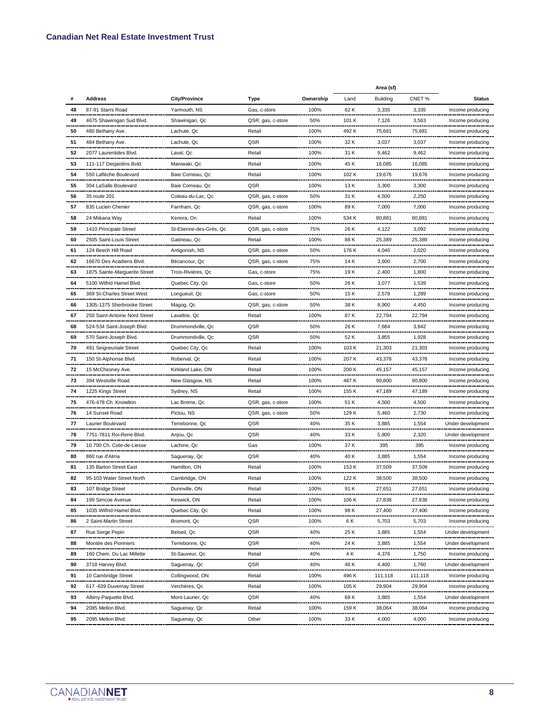|    |                               |                         |                   |           | Area (sf) |                 |         |                   |
|----|-------------------------------|-------------------------|-------------------|-----------|-----------|-----------------|---------|-------------------|
|    | <b>Address</b>                | <b>City/Province</b>    | Type              | Ownership | Land      | <b>Building</b> | CNET%   | <b>Status</b>     |
| 48 | 87-91 Starrs Road             | Yarmouth, NS            | Gas, c-store      | 100%      | 62 K      | 3,335           | 3,335   | Income producing  |
| 49 | 4675 Shawinigan Sud Blvd.     | Shawinigan, Qc          | QSR, gas, c-store | 50%       | 101 K     | 7,126           | 3,563   | Income producing  |
| 50 | 480 Bethany Ave.              | Lachute, Qc             | Retail            | 100%      | 492 K     | 75,681          | 75,681  | Income producing  |
| 51 | 484 Bethany Ave.              | Lachute, Qc             | QSR               | 100%      | 32 K      | 3,037           | 3,037   | Income producing  |
| 52 | 2077 Laurentides Blvd.        | Laval, Qc               | Retail            | 100%      | 31 K      | 9,462           | 9,462   | Income producing  |
| 53 | 111-117 Desjardins Bvld.      | Maniwaki, Qc            | Retail            | 100%      | 45 K      | 16,085          | 16,085  | Income producing  |
| 54 | 550 Laflèche Boulevard        | Baie Comeau, Qc         | Retail            | 100%      | 102 K     | 19,676          | 19,676  | Income producing  |
| 55 | 304 LaSalle Boulevard         | Baie Comeau, Qc         | QSR               | 100%      | 13 K      | 3,300           | 3,300   | Income producing  |
| 56 | 35 route 201                  | Coteau-du-Lac, Qc       | QSR, gas, c-store | 50%       | 31 K      | 4,500           | 2,250   | Income producing  |
| 57 | 835 Lucien Chenier            | Farnham, Qc             | QSR, gas, c-store | 100%      | 89 K      | 7,000           | 7,000   | Income producing  |
| 58 | 24 Miikana Way                | Kenora, On              | Retail            | 100%      | 534 K     | 80,881          | 80,881  | Income producing  |
| 59 | 1410 Principale Street        | St-Etienne-des-Grès, Qc | QSR, gas, c-store | 75%       | 26 K      | 4,122           | 3,092   | Income producing  |
| 60 | 2505 Saint-Louis Street       | Gatineau, Qc            | Retail            | 100%      | 88 K      | 25,389          | 25,389  | Income producing  |
| 61 | 124 Beech Hill Road           | Antigonish, NS          | QSR, gas, c-store | 50%       | 176 K     | 4,040           | 2,020   | Income producing  |
| 62 | 16670 Des Acadiens Blvd.      | Bécancour, Qc           | QSR, gas, c-store | 75%       | 14 K      | 3,600           | 2,700   | Income producing  |
| 63 | 1875 Sainte-Marguerite Street | Trois-Rivières, Qc      | Gas, c-store      | 75%       | 19 K      | 2,400           | 1,800   | Income producing  |
| 64 | 5100 Wilfrid Hamel Blvd.      | Quebec City, Qc         | Gas, c-store      | 50%       | 26 K      | 3,077           | 1,539   | Income producing  |
| 65 | 369 St-Charles Street West    | Longueuil, Qc           | Gas, c-store      | 50%       | 15 K      | 2,578           | 1,289   | Income producing  |
| 66 | 1305-1375 Sherbrooke Street   | Magog, Qc               | QSR, gas, c-store | 50%       | 38 K      | 8,900           | 4,450   | Income producing  |
| 67 | 250 Saint-Antoine Nord Street | Lavaltrie, Qc           | Retail            | 100%      | 87 K      | 22,794          | 22,794  | Income producing  |
| 68 | 524-534 Saint-Joseph Blvd.    | Drummondville, Qc       | QSR               | 50%       | 26 K      | 7,684           | 3,842   | Income producing  |
| 69 | 570 Saint-Joseph Blvd.        | Drummondville, Qc       | QSR               | 50%       | 52 K      | 3,855           | 1,928   | Income producing  |
| 70 | 491 Seigneuriale Street       | Quebec City, Qc         | Retail            | 100%      | 103 K     | 21,303          | 21,303  | Income producing  |
| 71 | 150 St-Alphonse Blvd.         | Roberval, Qc            | Retail            | 100%      | 207 K     | 43,378          | 43,378  | Income producing  |
| 72 | 15 McChesney Ave.             | Kirkland Lake, ON       | Retail            | 100%      | 200 K     | 45,157          | 45,157  | Income producing  |
| 73 | 394 Westville Road            | New Glasgow, NS         | Retail            | 100%      | 487 K     | 90,800          | 90,800  | Income producing  |
| 74 | 1225 Kings Street             | Sydney, NS              | Retail            | 100%      | 155 K     | 47,189          | 47,189  | Income producing  |
| 75 | 476-478 Ch. Knowlton          | Lac Brome, Qc           | QSR, gas, c-store | 100%      | 51 K      | 4,500           | 4,500   | Income producing  |
| 76 | 14 Sunset Road                | Pictou, NS              | QSR, gas, c-store | 50%       | 129 K     | 5,460           | 2,730   | Income producing  |
| 77 | Laurier Boulevard             | Terrebonne, Qc          | QSR               | 40%       | 35 K      | 3,885           | 1,554   | Under development |
| 78 | 7751-7811 Roi-Rene Blvd.      | Anjou, Qc               | QSR               | 40%       | 33 K      | 5,800           | 2,320   | Under development |
| 79 | 10 700 Ch. Cote-de-Liesse     | Lachine, Qc             | Gas               | 100%      | 37 K      | 395             | 395     | Income producing  |
| 80 | 860 rue d'Alma                | Saguenay, Qc            | QSR               | 40%       | 40 K      | 3,885           | 1,554   | Income producing  |
| 81 | 135 Barton Street East        | Hamilton, ON            | Retail            | 100%      | 153 K     | 37,509          | 37,509  | Income producing  |
| 82 | 95-103 Water Street North     | Cambridge, ON           | Retail            | 100%      | 122 K     | 38,500          | 38,500  | Income producing  |
| 83 | 107 Bridge Street             | Dunnville, ON           | Retail            | 100%      | 91 K      | 27,651          | 27,651  | Income producing  |
| 84 | 199 Simcoe Avenue             | Keswick, ON             | Retail            | 100%      | 106 K     | 27,838          | 27,838  | Income producing  |
| 85 | 1035 Wilfrid-Hamel Blvd.      | Quebec City, Qc         | Retail            | 100%      | 98 K      | 27,400          | 27,400  | Income producing  |
| 86 | 2 Saint-Martin Street         | Bromont, Qc             | QSR               | 100%      | 6 K       | 5,703           | 5,703   | Income producing  |
| 87 | Rue Serge Pepin               | Beloeil, Qc             | QSR               | 40%       | 25 K      | 3,885           | 1,554   | Under development |
| 88 | Montée des Pionniers          | Terrebonne, Qc          | QSR               | 40%       | 24 K      | 3,885           | 1,554   | Under development |
| 89 | 160 Chem. Du Lac Millette     | St-Sauveur, Qc          | Retail            | 40%       | 4 K       | 4,376           | 1,750   | Income producing  |
| 90 | 3718 Harvey Blvd.             | Saguenay, Qc            | QSR               | 40%       | 46 K      | 4,400           | 1,760   | Under development |
| 91 | 10 Cambridge Street           | Collingwood, ON         | Retail            | 100%      | 496 K     | 111,118         | 111,118 | Income producing  |
| 92 | 617 -639 Duvernay Street      | Verchères, Qc           | Retail            | 100%      | 105 K     | 29,904          | 29,904  | Income producing  |
| 93 | Albiny-Paquette Blvd.         | Mont-Laurier, Qc        | QSR               | 40%       | 68 K      | 3,885           | 1,554   | Under development |
| 94 | 2085 Mellon Blvd.             | Saquenay, Qc            | Retail            | 100%      | 159 K     | 38,064          | 38,064  | Income producing  |
| 95 | 2095 Mellon Blvd.             | Saguenay, Qc            | Other             | 100%      | 33 K      | 4,000           | 4,000   | Income producing  |

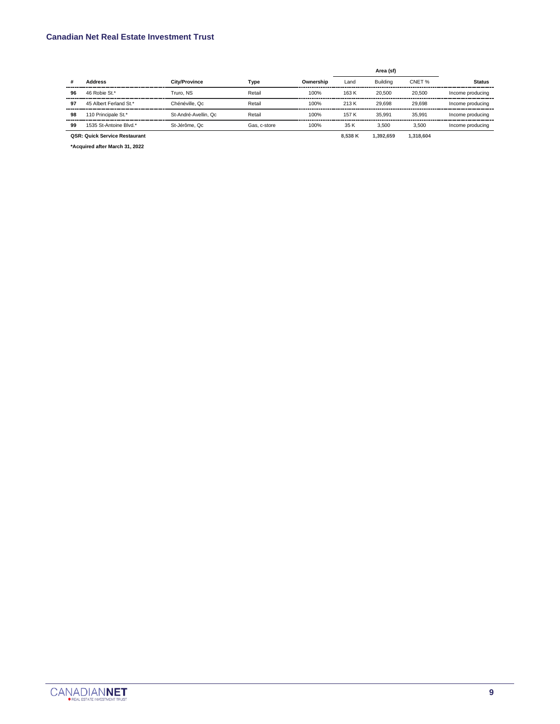#### **Canadian Net Real Estate Investment Trust**

|    |                                      |                      |              |           |         | Area (sf) |           |                  |
|----|--------------------------------------|----------------------|--------------|-----------|---------|-----------|-----------|------------------|
| #  | <b>Address</b>                       | <b>City/Province</b> | Type         | Ownership | Land    | Building  | CNET %    | <b>Status</b>    |
| 96 | 46 Robie St.*                        | Truro, NS            | Retail       | 100%      | 163 K   | 20,500    | 20,500    | Income producing |
| 97 | 45 Albert Ferland St.*               | Chénéville, Qc       | Retail       | 100%      | 213 K   | 29.698    | 29.698    | Income producing |
| 98 | 110 Principale St.*                  | St-André-Avellin, Qc | Retail       | 100%      | 157 K   | 35.991    | 35.991    | Income producing |
| 99 | 1535 St-Antoine Blvd.*               | St-Jérôme, Qc        | Gas, c-store | 100%      | 35 K    | 3.500     | 3.500     | Income producing |
|    | <b>QSR: Quick Service Restaurant</b> |                      |              |           | 8.538 K | 1.392.659 | 1.318.604 |                  |

**\*Acquired after March 31, 2022**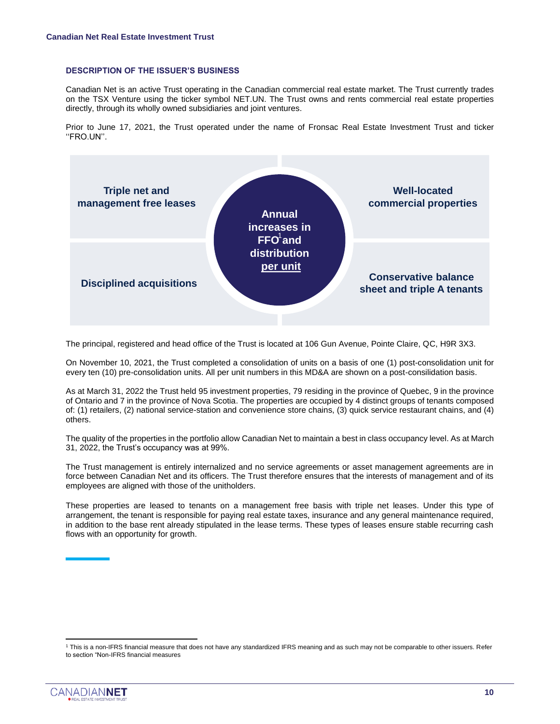#### **DESCRIPTION OF THE ISSUER'S BUSINESS**

Canadian Net is an active Trust operating in the Canadian commercial real estate market. The Trust currently trades on the TSX Venture using the ticker symbol NET.UN. The Trust owns and rents commercial real estate properties directly, through its wholly owned subsidiaries and joint ventures.

Prior to June 17, 2021, the Trust operated under the name of Fronsac Real Estate Investment Trust and ticker ''FRO.UN''. 1



The principal, registered and head office of the Trust is located at 106 Gun Avenue, Pointe Claire, QC, H9R 3X3.

On November 10, 2021, the Trust completed a consolidation of units on a basis of one (1) post-consolidation unit for every ten (10) pre-consolidation units. All per unit numbers in this MD&A are shown on a post-consilidation basis.

As at March 31, 2022 the Trust held 95 investment properties, 79 residing in the province of Quebec, 9 in the province of Ontario and 7 in the province of Nova Scotia. The properties are occupied by 4 distinct groups of tenants composed of: (1) retailers, (2) national service-station and convenience store chains, (3) quick service restaurant chains, and (4) others.

The quality of the properties in the portfolio allow Canadian Net to maintain a best in class occupancy level. As at March 31, 2022, the Trust's occupancy was at 99%.

The Trust management is entirely internalized and no service agreements or asset management agreements are in force between Canadian Net and its officers. The Trust therefore ensures that the interests of management and of its employees are aligned with those of the unitholders.

These properties are leased to tenants on a management free basis with triple net leases. Under this type of arrangement, the tenant is responsible for paying real estate taxes, insurance and any general maintenance required, in addition to the base rent already stipulated in the lease terms. These types of leases ensure stable recurring cash flows with an opportunity for growth.

<sup>1</sup> This is a non-IFRS financial measure that does not have any standardized IFRS meaning and as such may not be comparable to other issuers. Refer to section "Non-IFRS financial measures

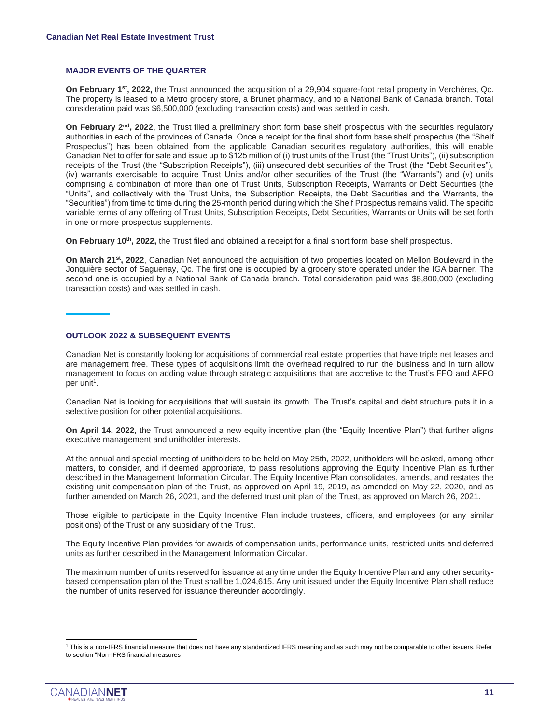#### **MAJOR EVENTS OF THE QUARTER**

**On February 1st, 2022,** the Trust announced the acquisition of a 29,904 square-foot retail property in Verchères, Qc. The property is leased to a Metro grocery store, a Brunet pharmacy, and to a National Bank of Canada branch. Total consideration paid was \$6,500,000 (excluding transaction costs) and was settled in cash.

**On February 2nd, 2022**, the Trust filed a preliminary short form base shelf prospectus with the securities regulatory authorities in each of the provinces of Canada. Once a receipt for the final short form base shelf prospectus (the "Shelf Prospectus") has been obtained from the applicable Canadian securities regulatory authorities, this will enable Canadian Net to offer for sale and issue up to \$125 million of (i) trust units of the Trust (the "Trust Units"), (ii) subscription receipts of the Trust (the "Subscription Receipts"), (iii) unsecured debt securities of the Trust (the "Debt Securities"), (iv) warrants exercisable to acquire Trust Units and/or other securities of the Trust (the "Warrants") and (v) units comprising a combination of more than one of Trust Units, Subscription Receipts, Warrants or Debt Securities (the "Units", and collectively with the Trust Units, the Subscription Receipts, the Debt Securities and the Warrants, the "Securities") from time to time during the 25-month period during which the Shelf Prospectus remains valid. The specific variable terms of any offering of Trust Units, Subscription Receipts, Debt Securities, Warrants or Units will be set forth in one or more prospectus supplements.

**On February 10th, 2022,** the Trust filed and obtained a receipt for a final short form base shelf prospectus.

**On March 21st, 2022**, Canadian Net announced the acquisition of two properties located on Mellon Boulevard in the Jonquière sector of Saguenay, Qc. The first one is occupied by a grocery store operated under the IGA banner. The second one is occupied by a National Bank of Canada branch. Total consideration paid was \$8,800,000 (excluding transaction costs) and was settled in cash.

#### **OUTLOOK 2022 & SUBSEQUENT EVENTS**

Canadian Net is constantly looking for acquisitions of commercial real estate properties that have triple net leases and are management free. These types of acquisitions limit the overhead required to run the business and in turn allow management to focus on adding value through strategic acquisitions that are accretive to the Trust's FFO and AFFO per unit<sup>1</sup>.

Canadian Net is looking for acquisitions that will sustain its growth. The Trust's capital and debt structure puts it in a selective position for other potential acquisitions.

**On April 14, 2022,** the Trust announced a new equity incentive plan (the "Equity Incentive Plan") that further aligns executive management and unitholder interests.

At the annual and special meeting of unitholders to be held on May 25th, 2022, unitholders will be asked, among other matters, to consider, and if deemed appropriate, to pass resolutions approving the Equity Incentive Plan as further described in the Management Information Circular. The Equity Incentive Plan consolidates, amends, and restates the existing unit compensation plan of the Trust, as approved on April 19, 2019, as amended on May 22, 2020, and as further amended on March 26, 2021, and the deferred trust unit plan of the Trust, as approved on March 26, 2021.

Those eligible to participate in the Equity Incentive Plan include trustees, officers, and employees (or any similar positions) of the Trust or any subsidiary of the Trust.

The Equity Incentive Plan provides for awards of compensation units, performance units, restricted units and deferred units as further described in the Management Information Circular.

The maximum number of units reserved for issuance at any time under the Equity Incentive Plan and any other securitybased compensation plan of the Trust shall be 1,024,615. Any unit issued under the Equity Incentive Plan shall reduce the number of units reserved for issuance thereunder accordingly.

<sup>1</sup> This is a non-IFRS financial measure that does not have any standardized IFRS meaning and as such may not be comparable to other issuers. Refer to section "Non-IFRS financial measures

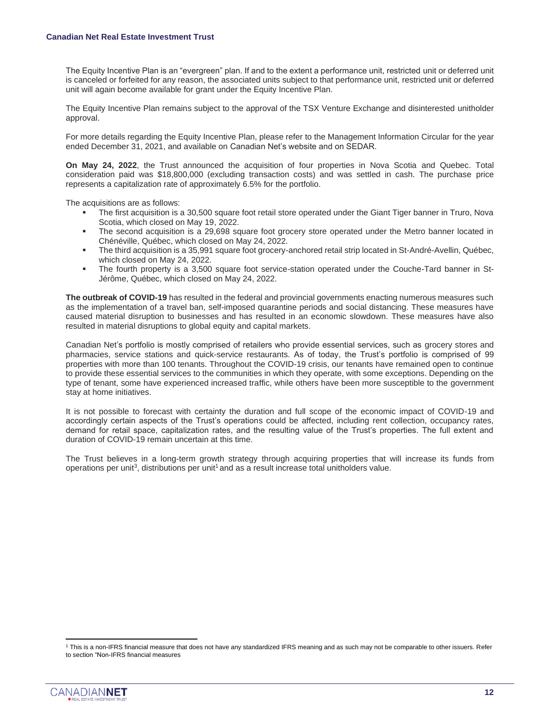The Equity Incentive Plan is an "evergreen" plan. If and to the extent a performance unit, restricted unit or deferred unit is canceled or forfeited for any reason, the associated units subject to that performance unit, restricted unit or deferred unit will again become available for grant under the Equity Incentive Plan.

The Equity Incentive Plan remains subject to the approval of the TSX Venture Exchange and disinterested unitholder approval.

For more details regarding the Equity Incentive Plan, please refer to the Management Information Circular for the year ended December 31, 2021, and available on Canadian Net's website and on SEDAR.

**On May 24, 2022**, the Trust announced the acquisition of four properties in Nova Scotia and Quebec. Total consideration paid was \$18,800,000 (excluding transaction costs) and was settled in cash. The purchase price represents a capitalization rate of approximately 6.5% for the portfolio.

The acquisitions are as follows:

- The first acquisition is a 30,500 square foot retail store operated under the Giant Tiger banner in Truro, Nova Scotia, which closed on May 19, 2022.
- The second acquisition is a 29,698 square foot grocery store operated under the Metro banner located in Chénéville, Québec, which closed on May 24, 2022.
- The third acquisition is a 35,991 square foot grocery-anchored retail strip located in St-André-Avellin, Québec, which closed on May 24, 2022.
- The fourth property is a 3,500 square foot service-station operated under the Couche-Tard banner in St-Jérôme, Québec, which closed on May 24, 2022.

**The outbreak of COVID-19** has resulted in the federal and provincial governments enacting numerous measures such as the implementation of a travel ban, self-imposed quarantine periods and social distancing. These measures have caused material disruption to businesses and has resulted in an economic slowdown. These measures have also resulted in material disruptions to global equity and capital markets.

Canadian Net's portfolio is mostly comprised of retailers who provide essential services, such as grocery stores and pharmacies, service stations and quick-service restaurants. As of today, the Trust's portfolio is comprised of 99 properties with more than 100 tenants. Throughout the COVID-19 crisis, our tenants have remained open to continue to provide these essential services to the communities in which they operate, with some exceptions. Depending on the type of tenant, some have experienced increased traffic, while others have been more susceptible to the government stay at home initiatives.

It is not possible to forecast with certainty the duration and full scope of the economic impact of COVID-19 and accordingly certain aspects of the Trust's operations could be affected, including rent collection, occupancy rates, demand for retail space, capitalization rates, and the resulting value of the Trust's properties. The full extent and duration of COVID-19 remain uncertain at this time.

The Trust believes in a long-term growth strategy through acquiring properties that will increase its funds from operations per unit<sup>3</sup>, distributions per unit<sup>1</sup> and as a result increase total unitholders value.

<sup>1</sup> This is a non-IFRS financial measure that does not have any standardized IFRS meaning and as such may not be comparable to other issuers. Refer to section "Non-IFRS financial measures

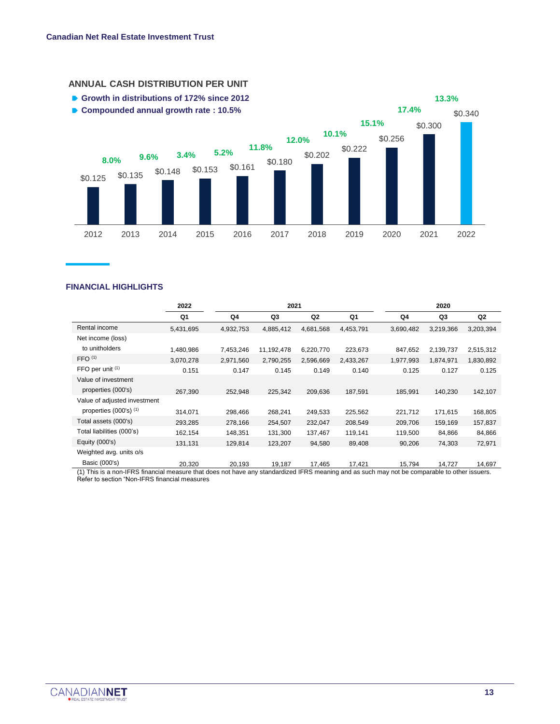

#### **ANNUAL CASH DISTRIBUTION PER UNIT**

#### **FINANCIAL HIGHLIGHTS**

|                                                                                                                                                               | 2022      | 2021      |            |           | 2020      |           |           |                |
|---------------------------------------------------------------------------------------------------------------------------------------------------------------|-----------|-----------|------------|-----------|-----------|-----------|-----------|----------------|
|                                                                                                                                                               | Q1        | Q4        | Q3         | Q2        | Q1        | Q4        | Q3        | Q <sub>2</sub> |
| Rental income                                                                                                                                                 | 5,431,695 | 4,932,753 | 4,885,412  | 4,681,568 | 4,453,791 | 3,690,482 | 3,219,366 | 3,203,394      |
| Net income (loss)                                                                                                                                             |           |           |            |           |           |           |           |                |
| to unitholders                                                                                                                                                | 1,480,986 | 7,453,246 | 11,192,478 | 6,220,770 | 223,673   | 847,652   | 2,139,737 | 2,515,312      |
| FFO <sup>(1)</sup>                                                                                                                                            | 3,070,278 | 2,971,560 | 2,790,255  | 2,596,669 | 2,433,267 | 1,977,993 | 1,874,971 | 1,830,892      |
| FFO per unit $(1)$                                                                                                                                            | 0.151     | 0.147     | 0.145      | 0.149     | 0.140     | 0.125     | 0.127     | 0.125          |
| Value of investment                                                                                                                                           |           |           |            |           |           |           |           |                |
| properties (000's)                                                                                                                                            | 267,390   | 252,948   | 225,342    | 209,636   | 187,591   | 185,991   | 140,230   | 142,107        |
| Value of adjusted investment                                                                                                                                  |           |           |            |           |           |           |           |                |
| properties $(000's)$ <sup><math>(1)</math></sup>                                                                                                              | 314,071   | 298,466   | 268,241    | 249,533   | 225,562   | 221,712   | 171,615   | 168,805        |
| Total assets (000's)                                                                                                                                          | 293,285   | 278,166   | 254,507    | 232,047   | 208,549   | 209,706   | 159,169   | 157,837        |
| Total liabilities (000's)                                                                                                                                     | 162,154   | 148,351   | 131,300    | 137,467   | 119,141   | 119,500   | 84,866    | 84,866         |
| Equity (000's)                                                                                                                                                | 131,131   | 129,814   | 123,207    | 94,580    | 89,408    | 90,206    | 74,303    | 72,971         |
| Weighted avg. units o/s                                                                                                                                       |           |           |            |           |           |           |           |                |
| Basic (000's)<br>(1) This is a non-IFRS financial measure that does not have any standardized IFRS meaning and as such may not be comparable to other issuers | 20.320    | 20.193    | 19.187     | 17,465    | 17,421    | 15,794    | 14.727    | 14,697         |

not have any standardized IFRS meaning and as such may not be comparable to other is Refer to section "Non-IFRS financial measures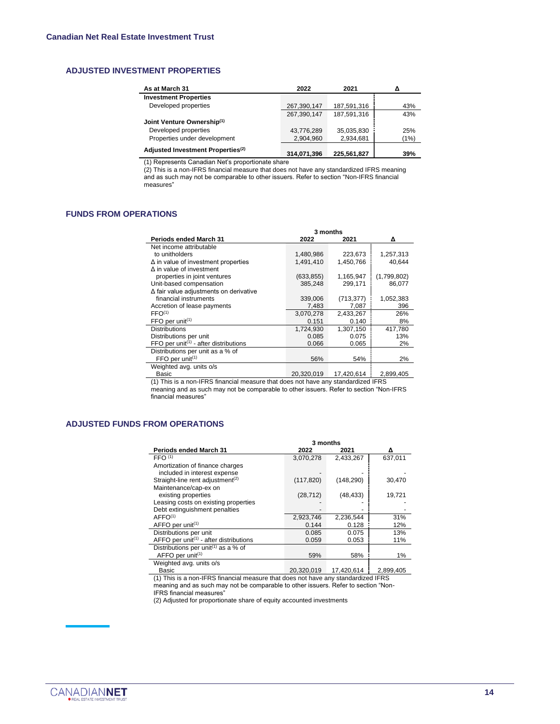#### **ADJUSTED INVESTMENT PROPERTIES**

| As at March 31                                | 2022        | 2021        |      |
|-----------------------------------------------|-------------|-------------|------|
| <b>Investment Properties</b>                  |             |             |      |
| Developed properties                          | 267,390,147 | 187,591,316 | 43%  |
|                                               | 267,390,147 | 187,591,316 | 43%  |
| Joint Venture Ownership(1)                    |             |             |      |
| Developed properties                          | 43,776,289  | 35,035,830  | 25%  |
| Properties under development                  | 2,904,960   | 2,934,681   | (1%) |
| Adjusted Investment Properties <sup>(2)</sup> | 314.071.396 | 225.561.827 | 39%  |

(1) Represents Canadian Net's proportionate share

(2) This is a non-IFRS financial measure that does not have any standardized IFRS meaning and as such may not be comparable to other issuers. Refer to section "Non-IFRS financial measures"

#### **FUNDS FROM OPERATIONS**

|                                                                | 3 months   |            |             |  |  |
|----------------------------------------------------------------|------------|------------|-------------|--|--|
| <b>Periods ended March 31</b>                                  | 2022       | 2021       | Δ           |  |  |
| Net income attributable                                        |            |            |             |  |  |
| to unitholders                                                 | 1,480,986  | 223,673    | 1,257,313   |  |  |
| $\Delta$ in value of investment properties                     | 1,491,410  | 1,450,766  | 40,644      |  |  |
| $\Delta$ in value of investment                                |            |            |             |  |  |
| properties in joint ventures                                   | (633, 855) | 1,165,947  | (1,799,802) |  |  |
| Unit-based compensation                                        | 385,248    | 299,171    | 86,077      |  |  |
| $\Delta$ fair value adjustments on derivative                  |            |            |             |  |  |
| financial instruments                                          | 339,006    | (713, 377) | 1,052,383   |  |  |
| Accretion of lease payments                                    | 7,483      | 7,087      | 396         |  |  |
| FFO <sup>(1)</sup>                                             | 3,070,278  | 2,433,267  | 26%         |  |  |
| $FFO$ per unit <sup><math>(1)</math></sup>                     | 0.151      | 0.140      | 8%          |  |  |
| <b>Distributions</b>                                           | 1,724,930  | 1,307,150  | 417,780     |  |  |
| Distributions per unit                                         | 0.085      | 0.075      | 13%         |  |  |
| FFO per unit <sup><math>(1)</math></sup> - after distributions | 0.066      | 0.065      | 2%          |  |  |
| Distributions per unit as a % of                               |            |            |             |  |  |
| $FFO$ per unit <sup><math>(1)</math></sup>                     | 56%        | 54%        | 2%          |  |  |
| Weighted avg. units o/s                                        |            |            |             |  |  |
| Basic                                                          | 20,320,019 | 17,420,614 | 2,899,405   |  |  |

(1) This is a non-IFRS financial measure that does not have any standardized IFRS meaning and as such may not be comparable to other issuers. Refer to section "Non-IFRS financial measures"

#### **ADJUSTED FUNDS FROM OPERATIONS**

|                                                                 | 3 months   |              |           |
|-----------------------------------------------------------------|------------|--------------|-----------|
| <b>Periods ended March 31</b>                                   | 2022       | 2021         | Δ         |
| FFO <sup>(1)</sup>                                              | 3,070,278  | 2,433,267    | 637,011   |
| Amortization of finance charges                                 |            |              |           |
| included in interest expense                                    |            |              |           |
| Straight-line rent adjustment <sup>(2)</sup>                    | (117, 820) | (148, 290)   | 30,470    |
| Maintenance/cap-ex on                                           |            |              |           |
| existing properties                                             | (28, 712)  | (48, 433)    | 19,721    |
| Leasing costs on existing properties                            |            |              |           |
| Debt extinguishment penalties                                   |            |              |           |
| AFFO <sup>(1)</sup>                                             | 2,923,746  | 2,236,544    | 31%       |
| $AFFO$ per unit <sup>(1)</sup>                                  | 0.144      | 0.128        | 12%       |
| Distributions per unit                                          | 0.085      | 0.075        | 13%       |
| AFFO per unit <sup><math>(1)</math></sup> - after distributions | 0.059      | 0.053        | 11%       |
| Distributions per unit <sup>(1)</sup> as a % of                 |            |              |           |
| AFFO per unit <sup>(1)</sup>                                    | 59%        | 58%          | 1%        |
| Weighted avg. units o/s                                         |            |              |           |
|                                                                 | 0.000000   | $1 - 100011$ | 0.000.10F |

Basic 20,320,019 17,420,614 2,899,405 (1) This is a non-IFRS financial measure that does not have any standardized IFRS

meaning and as such may not be comparable to other issuers. Refer to section "Non-IFRS financial measures"

(2) Adjusted for proportionate share of equity accounted investments

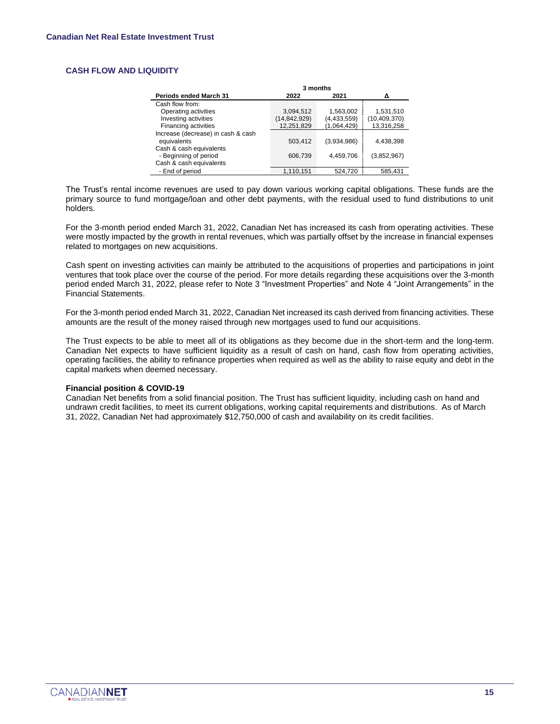#### **CASH FLOW AND LIQUIDITY**

|                                    | 3 months       |               |                |
|------------------------------------|----------------|---------------|----------------|
| <b>Periods ended March 31</b>      | 2022           | 2021          | Δ              |
| Cash flow from:                    |                |               |                |
| Operating activities               | 3,094,512      | 1,563,002     | 1,531,510      |
| Investing activities               | (14, 842, 929) | (4, 433, 559) | (10, 409, 370) |
| Financing activities               | 12,251,829     | (1,064,429)   | 13,316,258     |
| Increase (decrease) in cash & cash |                |               |                |
| equivalents                        | 503,412        | (3,934,986)   | 4,438,398      |
| Cash & cash equivalents            |                |               |                |
| - Beginning of period              | 606,739        | 4,459,706     | (3,852,967)    |
| Cash & cash equivalents            |                |               |                |
| - End of period                    | 1,110,151      | 524,720       | 585.431        |

The Trust's rental income revenues are used to pay down various working capital obligations. These funds are the primary source to fund mortgage/loan and other debt payments, with the residual used to fund distributions to unit holders.

For the 3-month period ended March 31, 2022, Canadian Net has increased its cash from operating activities. These were mostly impacted by the growth in rental revenues, which was partially offset by the increase in financial expenses related to mortgages on new acquisitions.

Cash spent on investing activities can mainly be attributed to the acquisitions of properties and participations in joint ventures that took place over the course of the period. For more details regarding these acquisitions over the 3-month period ended March 31, 2022, please refer to Note 3 "Investment Properties" and Note 4 "Joint Arrangements" in the Financial Statements.

For the 3-month period ended March 31, 2022, Canadian Net increased its cash derived from financing activities. These amounts are the result of the money raised through new mortgages used to fund our acquisitions.

The Trust expects to be able to meet all of its obligations as they become due in the short-term and the long-term. Canadian Net expects to have sufficient liquidity as a result of cash on hand, cash flow from operating activities, operating facilities, the ability to refinance properties when required as well as the ability to raise equity and debt in the capital markets when deemed necessary.

#### **Financial position & COVID-19**

Canadian Net benefits from a solid financial position. The Trust has sufficient liquidity, including cash on hand and undrawn credit facilities, to meet its current obligations, working capital requirements and distributions. As of March 31, 2022, Canadian Net had approximately \$12,750,000 of cash and availability on its credit facilities.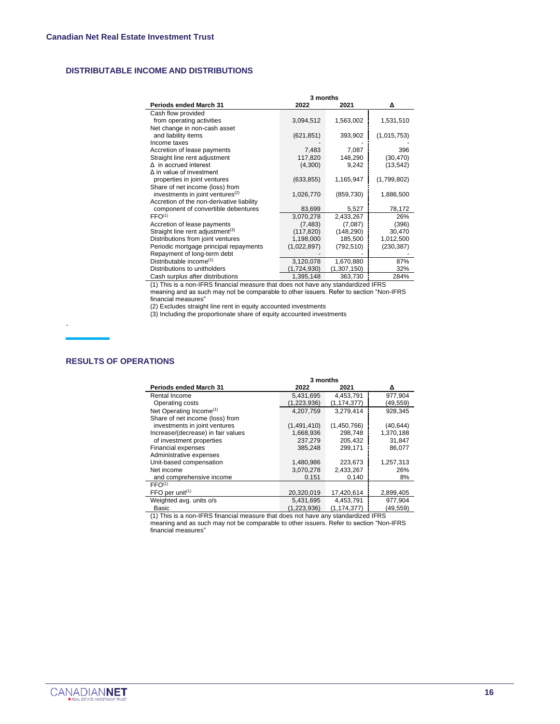#### **DISTRIBUTABLE INCOME AND DISTRIBUTIONS**

|                                              | 3 months    |             |             |  |  |
|----------------------------------------------|-------------|-------------|-------------|--|--|
| <b>Periods ended March 31</b>                | 2022        | 2021        | Δ           |  |  |
| Cash flow provided                           |             |             |             |  |  |
| from operating activities                    | 3,094,512   | 1,563,002   | 1,531,510   |  |  |
| Net change in non-cash asset                 |             |             |             |  |  |
| and liability items                          | (621, 851)  | 393,902     | (1,015,753) |  |  |
| Income taxes                                 |             |             |             |  |  |
| Accretion of lease payments                  | 7,483       | 7,087       | 396         |  |  |
| Straight line rent adjustment                | 117,820     | 148,290     | (30, 470)   |  |  |
| $\Delta$ in accrued interest                 | (4,300)     | 9,242       | (13, 542)   |  |  |
| $\Delta$ in value of investment              |             |             |             |  |  |
| properties in joint ventures                 | (633, 855)  | 1,165,947   | (1,799,802) |  |  |
| Share of net income (loss) from              |             |             |             |  |  |
| investments in joint ventures <sup>(2)</sup> | 1,026,770   | (859, 730)  | 1,886,500   |  |  |
| Accretion of the non-derivative liability    |             |             |             |  |  |
| component of convertible debentures          | 83,699      | 5,527       | 78,172      |  |  |
| FFO <sup>(1)</sup>                           | 3,070,278   | 2,433,267   | 26%         |  |  |
| Accretion of lease payments                  | (7, 483)    | (7,087)     | (396)       |  |  |
| Straight line rent adjustment <sup>(3)</sup> | (117, 820)  | (148, 290)  | 30,470      |  |  |
| Distributions from joint ventures            | 1,198,000   | 185,500     | 1,012,500   |  |  |
| Periodic mortgage principal repayments       | (1,022,897) | (792, 510)  | (230, 387)  |  |  |
| Repayment of long-term debt                  |             |             |             |  |  |
| Distributable income <sup>(1)</sup>          | 3,120,078   | 1,670,880   | 87%         |  |  |
| Distributions to unitholders                 | (1,724,930) | (1,307,150) | 32%         |  |  |
| Cash surplus after distributions             | 1,395,148   | 363,730     | 284%        |  |  |

(1) This is a non-IFRS financial measure that does not have any standardized IFRS meaning and as such may not be comparable to other issuers. Refer to section "Non-IFRS financial measures"

(2) Excludes straight line rent in equity accounted investments

(3) Including the proportionate share of equity accounted investments

#### **RESULTS OF OPERATIONS**

.

|                                            | 3 months      |               |           |  |  |  |
|--------------------------------------------|---------------|---------------|-----------|--|--|--|
| <b>Periods ended March 31</b>              | 2022          | 2021          | Δ         |  |  |  |
| Rental Income                              | 5,431,695     | 4,453,791     | 977,904   |  |  |  |
| Operating costs                            | (1, 223, 936) | (1, 174, 377) | (49,559)  |  |  |  |
| Net Operating Income <sup>(1)</sup>        | 4.207.759     | 3,279,414     | 928,345   |  |  |  |
| Share of net income (loss) from            |               |               |           |  |  |  |
| investments in joint ventures              | (1,491,410)   | (1,450,766)   | (40, 644) |  |  |  |
| Increase/(decrease) in fair values         | 1,668,936     | 298.748       | 1,370,188 |  |  |  |
| of investment properties                   | 237,279       | 205,432       | 31,847    |  |  |  |
| Financial expenses                         | 385,248       | 299,171       | 86,077    |  |  |  |
| Administrative expenses                    |               |               |           |  |  |  |
| Unit-based compensation                    | 1,480,986     | 223,673       | 1,257,313 |  |  |  |
| Net income                                 | 3,070,278     | 2,433,267     | 26%       |  |  |  |
| and comprehensive income                   | 0.151         | 0.140         | 8%        |  |  |  |
| FFO <sup>(1)</sup>                         |               |               |           |  |  |  |
| $FFO$ per unit <sup><math>(1)</math></sup> | 20,320,019    | 17,420,614    | 2,899,405 |  |  |  |
| Weighted avg. units o/s                    | 5,431,695     | 4,453,791     | 977,904   |  |  |  |
| Basic                                      | (1,223,936)   | (1, 174, 377) | (49, 559) |  |  |  |

(1) This is a non-IFRS financial measure that does not have any standardized IFRS meaning and as such may not be comparable to other issuers. Refer to section "Non-IFRS financial measures"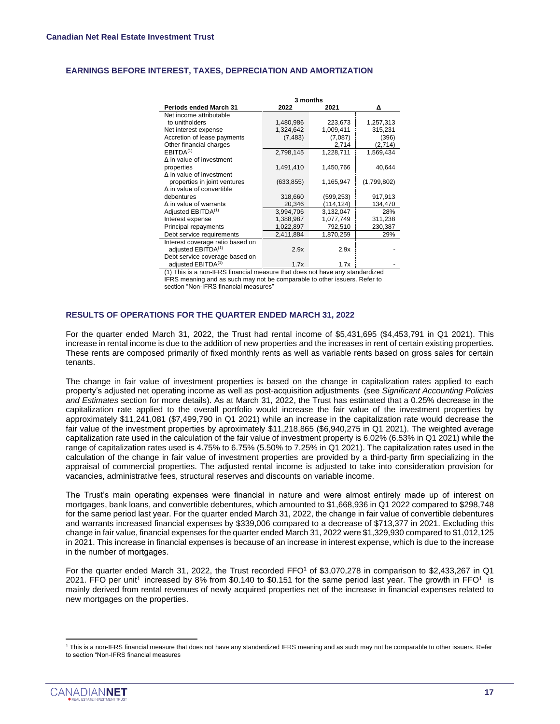#### **EARNINGS BEFORE INTEREST, TAXES, DEPRECIATION AND AMORTIZATION**

|                                  | 3 months   |           |             |  |  |  |
|----------------------------------|------------|-----------|-------------|--|--|--|
| <b>Periods ended March 31</b>    | 2022       | 2021      | Δ           |  |  |  |
| Net income attributable          |            |           |             |  |  |  |
| to unitholders                   | 1,480,986  | 223,673   | 1,257,313   |  |  |  |
| Net interest expense             | 1,324,642  | 1,009,411 | 315,231     |  |  |  |
| Accretion of lease payments      | (7, 483)   | (7,087)   | (396)       |  |  |  |
| Other financial charges          |            | 2,714     | (2,714)     |  |  |  |
| EBITDA <sup>(1)</sup>            | 2,798,145  | 1,228,711 | 1,569,434   |  |  |  |
| $\Delta$ in value of investment  |            |           |             |  |  |  |
| properties                       | 1,491,410  | 1,450,766 | 40,644      |  |  |  |
| $\Delta$ in value of investment  |            |           |             |  |  |  |
| properties in joint ventures     | (633, 855) | 1,165,947 | (1,799,802) |  |  |  |
| $\Delta$ in value of convertible |            |           |             |  |  |  |
| debentures                       | 318,660    | (599,253) | 917,913     |  |  |  |
| $\Delta$ in value of warrants    | 20,346     | (114,124) | 134,470     |  |  |  |
| Adjusted EBITDA <sup>(1)</sup>   | 3,994,706  | 3.132.047 | 28%         |  |  |  |
| Interest expense                 | 1,388,987  | 1,077,749 | 311,238     |  |  |  |
| Principal repayments             | 1,022,897  | 792,510   | 230,387     |  |  |  |
| Debt service requirements        | 2,411,884  | 1,870,259 | 29%         |  |  |  |
| Interest coverage ratio based on |            |           |             |  |  |  |
| adjusted EBITDA <sup>(1)</sup>   | 2.9x       | 2.9x      |             |  |  |  |
| Debt service coverage based on   |            |           |             |  |  |  |
| adjusted EBITDA <sup>(1)</sup>   | 1.7x       | 1.7x      |             |  |  |  |

(1) This is a non-IFRS financial measure that does not have any standardized IFRS meaning and as such may not be comparable to other issuers. Refer to section "Non-IFRS financial measures"

#### **RESULTS OF OPERATIONS FOR THE QUARTER ENDED MARCH 31, 2022**

For the quarter ended March 31, 2022, the Trust had rental income of \$5,431,695 (\$4,453,791 in Q1 2021). This increase in rental income is due to the addition of new properties and the increases in rent of certain existing properties. These rents are composed primarily of fixed monthly rents as well as variable rents based on gross sales for certain tenants.

The change in fair value of investment properties is based on the change in capitalization rates applied to each property's adjusted net operating income as well as post-acquisition adjustments (see *Significant Accounting Policies and Estimates* section for more details). As at March 31, 2022, the Trust has estimated that a 0.25% decrease in the capitalization rate applied to the overall portfolio would increase the fair value of the investment properties by approximately \$11,241,081 (\$7,499,790 in Q1 2021) while an increase in the capitalization rate would decrease the fair value of the investment properties by aproximately \$11,218,865 (\$6,940,275 in Q1 2021). The weighted average capitalization rate used in the calculation of the fair value of investment property is 6.02% (6.53% in Q1 2021) while the range of capitalization rates used is 4.75% to 6.75% (5.50% to 7.25% in Q1 2021). The capitalization rates used in the calculation of the change in fair value of investment properties are provided by a third-party firm specializing in the appraisal of commercial properties. The adjusted rental income is adjusted to take into consideration provision for vacancies, administrative fees, structural reserves and discounts on variable income.

The Trust's main operating expenses were financial in nature and were almost entirely made up of interest on mortgages, bank loans, and convertible debentures, which amounted to \$1,668,936 in Q1 2022 compared to \$298,748 for the same period last year. For the quarter ended March 31, 2022, the change in fair value of convertible debentures and warrants increased financial expenses by \$339,006 compared to a decrease of \$713,377 in 2021. Excluding this change in fair value, financial expenses for the quarter ended March 31, 2022 were \$1,329,930 compared to \$1,012,125 in 2021. This increase in financial expenses is because of an increase in interest expense, which is due to the increase in the number of mortgages.

For the quarter ended March 31, 2022, the Trust recorded FFO<sup>1</sup> of \$3,070,278 in comparison to \$2,433,267 in Q1 2021. FFO per unit<sup>1</sup> increased by 8% from \$0.140 to \$0.151 for the same period last year. The growth in FFO<sup>1</sup> is mainly derived from rental revenues of newly acquired properties net of the increase in financial expenses related to new mortgages on the properties.

<sup>1</sup> This is a non-IFRS financial measure that does not have any standardized IFRS meaning and as such may not be comparable to other issuers. Refer to section "Non-IFRS financial measures

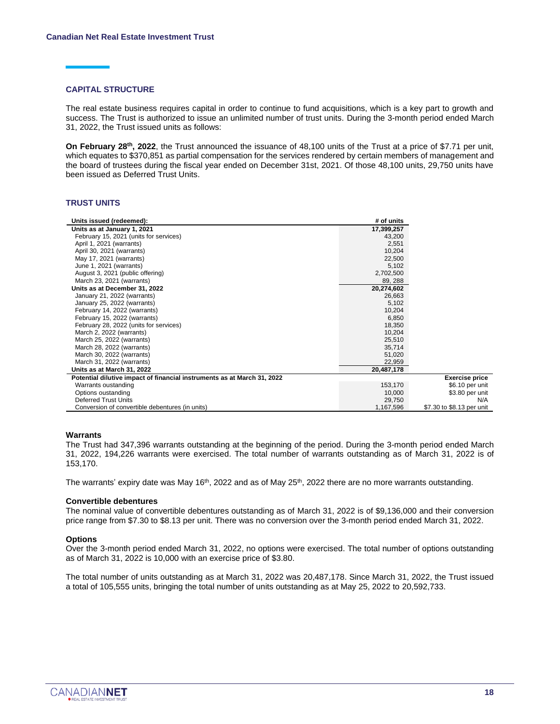#### **CAPITAL STRUCTURE**

The real estate business requires capital in order to continue to fund acquisitions, which is a key part to growth and success. The Trust is authorized to issue an unlimited number of trust units. During the 3-month period ended March 31, 2022, the Trust issued units as follows:

**On February 28<sup>th</sup>, 2022**, the Trust announced the issuance of 48,100 units of the Trust at a price of \$7.71 per unit, which equates to \$370,851 as partial compensation for the services rendered by certain members of management and the board of trustees during the fiscal year ended on December 31st, 2021. Of those 48,100 units, 29,750 units have been issued as Deferred Trust Units.

#### **TRUST UNITS**

| Units issued (redeemed):                                                | # of units |                           |
|-------------------------------------------------------------------------|------------|---------------------------|
| Units as at January 1, 2021                                             | 17,399,257 |                           |
| February 15, 2021 (units for services)                                  | 43,200     |                           |
| April 1, 2021 (warrants)                                                | 2,551      |                           |
| April 30, 2021 (warrants)                                               | 10,204     |                           |
| May 17, 2021 (warrants)                                                 | 22,500     |                           |
| June 1, 2021 (warrants)                                                 | 5,102      |                           |
| August 3, 2021 (public offering)                                        | 2,702,500  |                           |
| March 23, 2021 (warrants)                                               | 89, 288    |                           |
| Units as at December 31, 2022                                           | 20,274,602 |                           |
| January 21, 2022 (warrants)                                             | 26,663     |                           |
| January 25, 2022 (warrants)                                             | 5,102      |                           |
| February 14, 2022 (warrants)                                            | 10,204     |                           |
| February 15, 2022 (warrants)                                            | 6,850      |                           |
| February 28, 2022 (units for services)                                  | 18,350     |                           |
| March 2, 2022 (warrants)                                                | 10,204     |                           |
| March 25, 2022 (warrants)                                               | 25,510     |                           |
| March 28, 2022 (warrants)                                               | 35,714     |                           |
| March 30, 2022 (warrants)                                               | 51,020     |                           |
| March 31, 2022 (warrants)                                               | 22,959     |                           |
| Units as at March 31, 2022                                              | 20,487,178 |                           |
| Potential dilutive impact of financial instruments as at March 31, 2022 |            | <b>Exercise price</b>     |
| Warrants oustanding                                                     | 153,170    | \$6.10 per unit           |
| Options oustanding                                                      | 10,000     | \$3.80 per unit           |
| <b>Deferred Trust Units</b>                                             | 29,750     | N/A                       |
| Conversion of convertible debentures (in units)                         | 1,167,596  | \$7.30 to \$8.13 per unit |

#### **Warrants**

The Trust had 347,396 warrants outstanding at the beginning of the period. During the 3-month period ended March 31, 2022, 194,226 warrants were exercised. The total number of warrants outstanding as of March 31, 2022 is of 153,170.

The warrants' expiry date was May 16<sup>th</sup>, 2022 and as of May 25<sup>th</sup>, 2022 there are no more warrants outstanding.

#### **Convertible debentures**

The nominal value of convertible debentures outstanding as of March 31, 2022 is of \$9,136,000 and their conversion price range from \$7.30 to \$8.13 per unit. There was no conversion over the 3-month period ended March 31, 2022.

#### **Options**

Over the 3-month period ended March 31, 2022, no options were exercised. The total number of options outstanding as of March 31, 2022 is 10,000 with an exercise price of \$3.80.

The total number of units outstanding as at March 31, 2022 was 20,487,178. Since March 31, 2022, the Trust issued a total of 105,555 units, bringing the total number of units outstanding as at May 25, 2022 to 20,592,733.

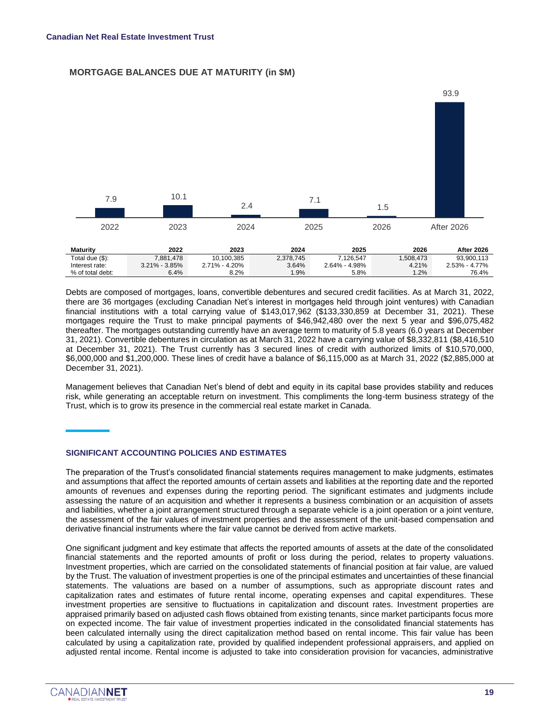#### **MORTGAGE BALANCES DUE AT MATURITY (in \$M)**



Debts are composed of mortgages, loans, convertible debentures and secured credit facilities. As at March 31, 2022, there are 36 mortgages (excluding Canadian Net's interest in mortgages held through joint ventures) with Canadian financial institutions with a total carrying value of \$143,017,962 (\$133,330,859 at December 31, 2021). These mortgages require the Trust to make principal payments of \$46,942,480 over the next 5 year and \$96,075,482 thereafter. The mortgages outstanding currently have an average term to maturity of 5.8 years (6.0 years at December 31, 2021). Convertible debentures in circulation as at March 31, 2022 have a carrying value of \$8,332,811 (\$8,416,510 at December 31, 2021). The Trust currently has 3 secured lines of credit with authorized limits of \$10,570,000, \$6,000,000 and \$1,200,000. These lines of credit have a balance of \$6,115,000 as at March 31, 2022 (\$2,885,000 at December 31, 2021).

Management believes that Canadian Net's blend of debt and equity in its capital base provides stability and reduces risk, while generating an acceptable return on investment. This compliments the long-term business strategy of the Trust, which is to grow its presence in the commercial real estate market in Canada.

#### **SIGNIFICANT ACCOUNTING POLICIES AND ESTIMATES**

The preparation of the Trust's consolidated financial statements requires management to make judgments, estimates and assumptions that affect the reported amounts of certain assets and liabilities at the reporting date and the reported amounts of revenues and expenses during the reporting period. The significant estimates and judgments include assessing the nature of an acquisition and whether it represents a business combination or an acquisition of assets and liabilities, whether a joint arrangement structured through a separate vehicle is a joint operation or a joint venture, the assessment of the fair values of investment properties and the assessment of the unit-based compensation and derivative financial instruments where the fair value cannot be derived from active markets.

One significant judgment and key estimate that affects the reported amounts of assets at the date of the consolidated financial statements and the reported amounts of profit or loss during the period, relates to property valuations. Investment properties, which are carried on the consolidated statements of financial position at fair value, are valued by the Trust. The valuation of investment properties is one of the principal estimates and uncertainties of these financial statements. The valuations are based on a number of assumptions, such as appropriate discount rates and capitalization rates and estimates of future rental income, operating expenses and capital expenditures. These investment properties are sensitive to fluctuations in capitalization and discount rates. Investment properties are appraised primarily based on adjusted cash flows obtained from existing tenants, since market participants focus more on expected income. The fair value of investment properties indicated in the consolidated financial statements has been calculated internally using the direct capitalization method based on rental income. This fair value has been calculated by using a capitalization rate, provided by qualified independent professional appraisers, and applied on adjusted rental income. Rental income is adjusted to take into consideration provision for vacancies, administrative

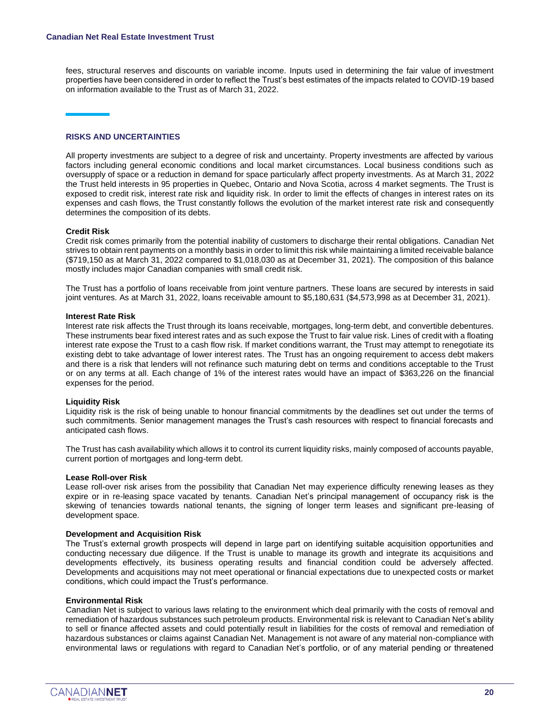fees, structural reserves and discounts on variable income. Inputs used in determining the fair value of investment properties have been considered in order to reflect the Trust's best estimates of the impacts related to COVID-19 based on information available to the Trust as of March 31, 2022.

#### **RISKS AND UNCERTAINTIES**

All property investments are subject to a degree of risk and uncertainty. Property investments are affected by various factors including general economic conditions and local market circumstances. Local business conditions such as oversupply of space or a reduction in demand for space particularly affect property investments. As at March 31, 2022 the Trust held interests in 95 properties in Quebec, Ontario and Nova Scotia, across 4 market segments. The Trust is exposed to credit risk, interest rate risk and liquidity risk. In order to limit the effects of changes in interest rates on its expenses and cash flows, the Trust constantly follows the evolution of the market interest rate risk and consequently determines the composition of its debts.

#### **Credit Risk**

Credit risk comes primarily from the potential inability of customers to discharge their rental obligations. Canadian Net strives to obtain rent payments on a monthly basis in order to limit this risk while maintaining a limited receivable balance (\$719,150 as at March 31, 2022 compared to \$1,018,030 as at December 31, 2021). The composition of this balance mostly includes major Canadian companies with small credit risk.

The Trust has a portfolio of loans receivable from joint venture partners. These loans are secured by interests in said joint ventures. As at March 31, 2022, loans receivable amount to \$5,180,631 (\$4,573,998 as at December 31, 2021).

#### **Interest Rate Risk**

Interest rate risk affects the Trust through its loans receivable, mortgages, long-term debt, and convertible debentures. These instruments bear fixed interest rates and as such expose the Trust to fair value risk. Lines of credit with a floating interest rate expose the Trust to a cash flow risk. If market conditions warrant, the Trust may attempt to renegotiate its existing debt to take advantage of lower interest rates. The Trust has an ongoing requirement to access debt makers and there is a risk that lenders will not refinance such maturing debt on terms and conditions acceptable to the Trust or on any terms at all. Each change of 1% of the interest rates would have an impact of \$363,226 on the financial expenses for the period.

#### **Liquidity Risk**

Liquidity risk is the risk of being unable to honour financial commitments by the deadlines set out under the terms of such commitments. Senior management manages the Trust's cash resources with respect to financial forecasts and anticipated cash flows.

The Trust has cash availability which allows it to control its current liquidity risks, mainly composed of accounts payable, current portion of mortgages and long-term debt.

#### **Lease Roll-over Risk**

Lease roll-over risk arises from the possibility that Canadian Net may experience difficulty renewing leases as they expire or in re-leasing space vacated by tenants. Canadian Net's principal management of occupancy risk is the skewing of tenancies towards national tenants, the signing of longer term leases and significant pre-leasing of development space.

#### **Development and Acquisition Risk**

The Trust's external growth prospects will depend in large part on identifying suitable acquisition opportunities and conducting necessary due diligence. If the Trust is unable to manage its growth and integrate its acquisitions and developments effectively, its business operating results and financial condition could be adversely affected. Developments and acquisitions may not meet operational or financial expectations due to unexpected costs or market conditions, which could impact the Trust's performance.

#### **Environmental Risk**

Canadian Net is subject to various laws relating to the environment which deal primarily with the costs of removal and remediation of hazardous substances such petroleum products. Environmental risk is relevant to Canadian Net's ability to sell or finance affected assets and could potentially result in liabilities for the costs of removal and remediation of hazardous substances or claims against Canadian Net. Management is not aware of any material non-compliance with environmental laws or regulations with regard to Canadian Net's portfolio, or of any material pending or threatened